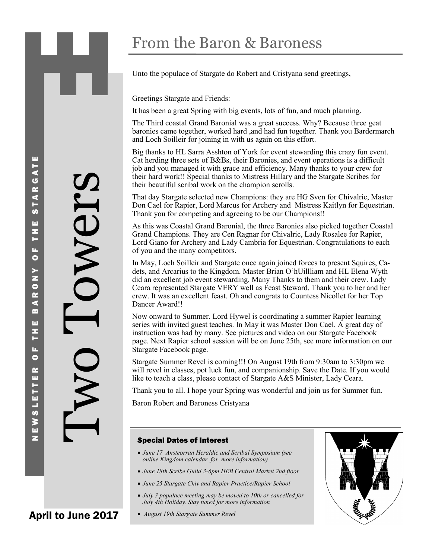Unto the populace of Stargate do Robert and Cristyana send greetings,

Greetings Stargate and Friends:

It has been a great Spring with big events, lots of fun, and much planning.

The Third coastal Grand Baronial was a great success. Why? Because three geat baronies came together, worked hard ,and had fun together. Thank you Bardermarch and Loch Soilleir for joining in with us again on this effort.

Big thanks to HL Sarra Asshton of York for event stewarding this crazy fun event. Cat herding three sets of B&Bs, their Baronies, and event operations is a difficult job and you managed it with grace and efficiency. Many thanks to your crew for their hard work!! Special thanks to Mistress Hillary and the Stargate Scribes for their beautiful scribal work on the champion scrolls.

That day Stargate selected new Champions: they are HG Sven for Chivalric, Master Don Cael for Rapier, Lord Marcus for Archery and Mistress Kaitlyn for Equestrian. Thank you for competing and agreeing to be our Champions!!

As this was Coastal Grand Baronial, the three Baronies also picked together Coastal Grand Champions. They are Cen Ragnar for Chivalric, Lady Rosalee for Rapier, Lord Giano for Archery and Lady Cambria for Equestrian. Congratulations to each of you and the many competitors.

In May, Loch Soilleir and Stargate once again joined forces to present Squires, Cadets, and Arcarius to the Kingdom. Master Brian O'hUillliam and HL Elena Wyth did an excellent job event stewarding. Many Thanks to them and their crew. Lady Ceara represented Stargate VERY well as Feast Steward. Thank you to her and her crew. It was an excellent feast. Oh and congrats to Countess Nicollet for her Top Dancer Award!! The transformation of the Hampy Condition and Condition and Condition of the Mapping Land Change of the Mapping Land Change (1) The Mapping and age (1) August 19th Stargate Summer Revel and Change of the Stargate Summer As

Now onward to Summer. Lord Hywel is coordinating a summer Rapier learning series with invited guest teaches. In May it was Master Don Cael. A great day of instruction was had by many. See pictures and video on our Stargate Facebook page. Next Rapier school session will be on June 25th, see more information on our Stargate Facebook page.

Stargate Summer Revel is coming!!! On August 19th from 9:30am to 3:30pm we will revel in classes, pot luck fun, and companionship. Save the Date. If you would like to teach a class, please contact of Stargate A&S Minister, Lady Ceara.

Thank you to all. I hope your Spring was wonderful and join us for Summer fun.

Baron Robert and Baroness Cristyana

### Special Dates of Interest

- *June 17 Ansteorran Heraldic and Scribal Symposium (see online Kingdom calendar for more information)*
- *June 18th Scribe Guild 3-6pm HEB Central Market 2nd floor*
- *June 25 Stargate Chiv and Rapier Practice/Rapier School*
- *July 3 populace meeting may be moved to 10th or cancelled for July 4th Holiday. Stay tuned for more information*
- 

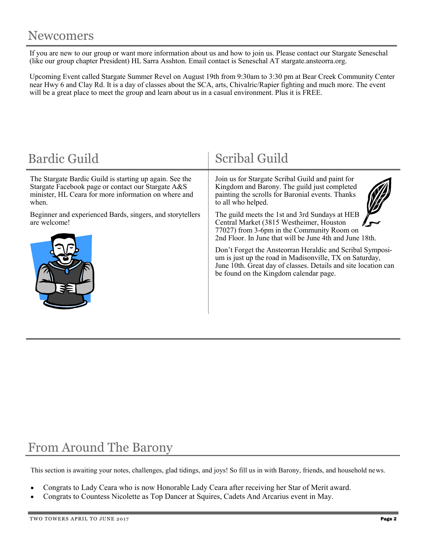If you are new to our group or want more information about us and how to join us. Please contact our Stargate Seneschal (like our group chapter President) HL Sarra Asshton. Email contact is Seneschal AT stargate.ansteorra.org.

Upcoming Event called Stargate Summer Revel on August 19th from 9:30am to 3:30 pm at Bear Creek Community Center near Hwy 6 and Clay Rd. It is a day of classes about the SCA, arts, Chivalric/Rapier fighting and much more. The event will be a great place to meet the group and learn about us in a casual environment. Plus it is FREE.

| <b>Bardic Guild</b>                                                                                                                                                            | <b>Scribal Guild</b>                                                                                                                                                                                                                                                                                                        |  |  |
|--------------------------------------------------------------------------------------------------------------------------------------------------------------------------------|-----------------------------------------------------------------------------------------------------------------------------------------------------------------------------------------------------------------------------------------------------------------------------------------------------------------------------|--|--|
| The Stargate Bardic Guild is starting up again. See the<br>Stargate Facebook page or contact our Stargate A&S<br>minister, HL Ceara for more information on where and<br>when. | Join us for Stargate Scribal Guild and paint for<br>Kingdom and Barony. The guild just completed<br>painting the scrolls for Baronial events. Thanks<br>to all who helped.                                                                                                                                                  |  |  |
| Beginner and experienced Bards, singers, and storytellers<br>are welcome!                                                                                                      | The guild meets the 1st and 3rd Sundays at HEB<br>Central Market (3815 Westheimer, Houston<br>77027) from 3-6pm in the Community Room on<br>2nd Floor. In June that will be June 4th and June 18th.<br>Don't Forget the Ansteorran Heraldic and Scribal Symposi-<br>um is just up the road in Madisonville, TX on Saturday, |  |  |
|                                                                                                                                                                                | June 10th. Great day of classes. Details and site location can<br>be found on the Kingdom calendar page.                                                                                                                                                                                                                    |  |  |

## From Around The Barony

This section is awaiting your notes, challenges, glad tidings, and joys! So fill us in with Barony, friends, and household news.

- Congrats to Lady Ceara who is now Honorable Lady Ceara after receiving her Star of Merit award.
- Congrats to Countess Nicolette as Top Dancer at Squires, Cadets And Arcarius event in May.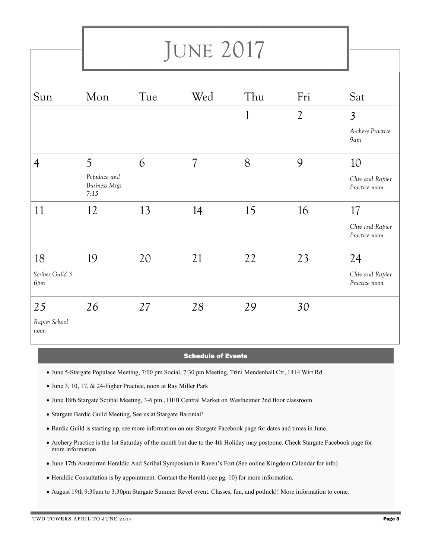# JUNE 2017

| Sun                         | Mon                                          | Tue | Wed                      | Thu          | Fri            | Sat                              |
|-----------------------------|----------------------------------------------|-----|--------------------------|--------------|----------------|----------------------------------|
|                             |                                              |     |                          | $\mathbf{1}$ | $\overline{2}$ | $\overline{3}$                   |
|                             |                                              |     |                          |              |                | Archery Practice<br>9am          |
| $\overline{4}$              | 5                                            | 6   | $\overline{\mathcal{L}}$ | 8            | 9              | 10                               |
|                             | Populace and<br><b>Business Mtgs</b><br>7:15 |     |                          |              |                | Chiv and Rapier<br>Practice noon |
| 11                          | 12                                           | 13  | 14                       | 15           | 16             | 17                               |
|                             |                                              |     |                          |              |                | Chiv and Rapier<br>Practice noon |
| 18                          | 19                                           | 20  | 21                       | 22           | 23             | 24                               |
| Scribes Guild 3-<br>6pm     |                                              |     |                          |              |                | Chiv and Rapier<br>Practice noon |
| 25<br>Rapier School<br>noon | 26                                           | 27  | 28                       | 29           | 30             |                                  |

### Schedule of Events

- June 5-Stargate Populace Meeting, 7:00 pm Social, 7:30 pm Meeting, Trini Mendenhall Ctr, 1414 Wirt Rd
- June 3, 10, 17, & 24-Figher Practice, noon at Ray Miller Park
- June 18th Stargate Scribal Meeting, 3-6 pm , HEB Central Market on Westheimer 2nd floor classroom
- Stargate Bardic Guild Meeting, See us at Stargate Baronial!
- Bardic Guild is starting up, see more information on our Stargate Facebook page for dates and times in June.
- Archery Practice is the 1st Saturday of the month but due to the 4th Holiday may postpone. Check Stargate Facebook page for more information.
- June 17th Ansteorran Heraldic And Scribal Symposium in Raven's Fort (See online Kingdom Calendar for info)
- Heraldic Consultation is by appointment. Contact the Herald (see pg. 10) for more information.
- August 19th 9:30am to 3:30pm Stargate Summer Revel event. Classes, fun, and potluck!! More information to come.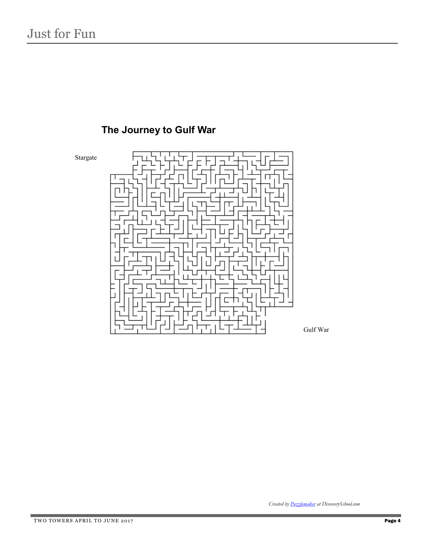

## **The Journey to Gulf War**

*Created by [Puzzlemaker](http://puzzlemaker.school.discovery.com) at DiscoverySchool.com*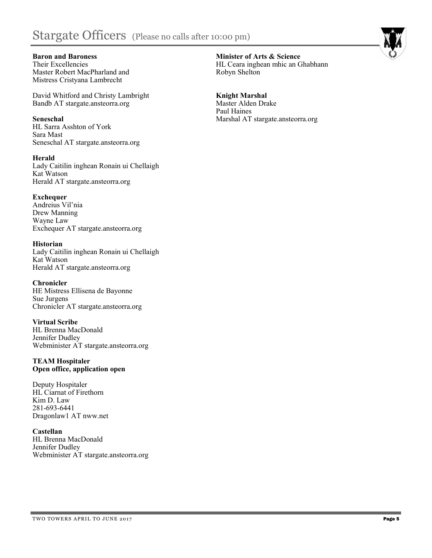## Stargate Officers (Please no calls after 10:00 pm)



**Baron and Baroness** Their Excellencies Master Robert MacPharland and Mistress Cristyana Lambrecht

David Whitford and Christy Lambright Bandb AT stargate.ansteorra.org

**Seneschal** HL Sarra Asshton of York Sara Mast Seneschal AT stargate.ansteorra.org

**Herald** Lady Caitilin inghean Ronain ui Chellaigh Kat Watson Herald AT stargate.ansteorra.org

**Exchequer** Andreius Vil'nia Drew Manning Wayne Law Exchequer AT stargate.ansteorra.org

**Historian** Lady Caitilin inghean Ronain ui Chellaigh Kat Watson Herald AT stargate.ansteorra.org

**Chronicler** HE Mistress Ellisena de Bayonne Sue Jurgens Chronicler AT stargate.ansteorra.org

**Virtual Scribe** HL Brenna MacDonald Jennifer Dudley Webminister AT stargate.ansteorra.org

#### **TEAM Hospitaler Open office, application open**

Deputy Hospitaler HL Ciarnat of Firethorn Kim D. Law 281-693-6441 Dragonlaw1 AT nww.net

**Castellan**  HL Brenna MacDonald Jennifer Dudley Webminister AT stargate.ansteorra.org **Minister of Arts & Science** HL Ceara inghean mhic an Ghabhann Robyn Shelton

**Knight Marshal** Master Alden Drake Paul Haines Marshal AT stargate.ansteorra.org